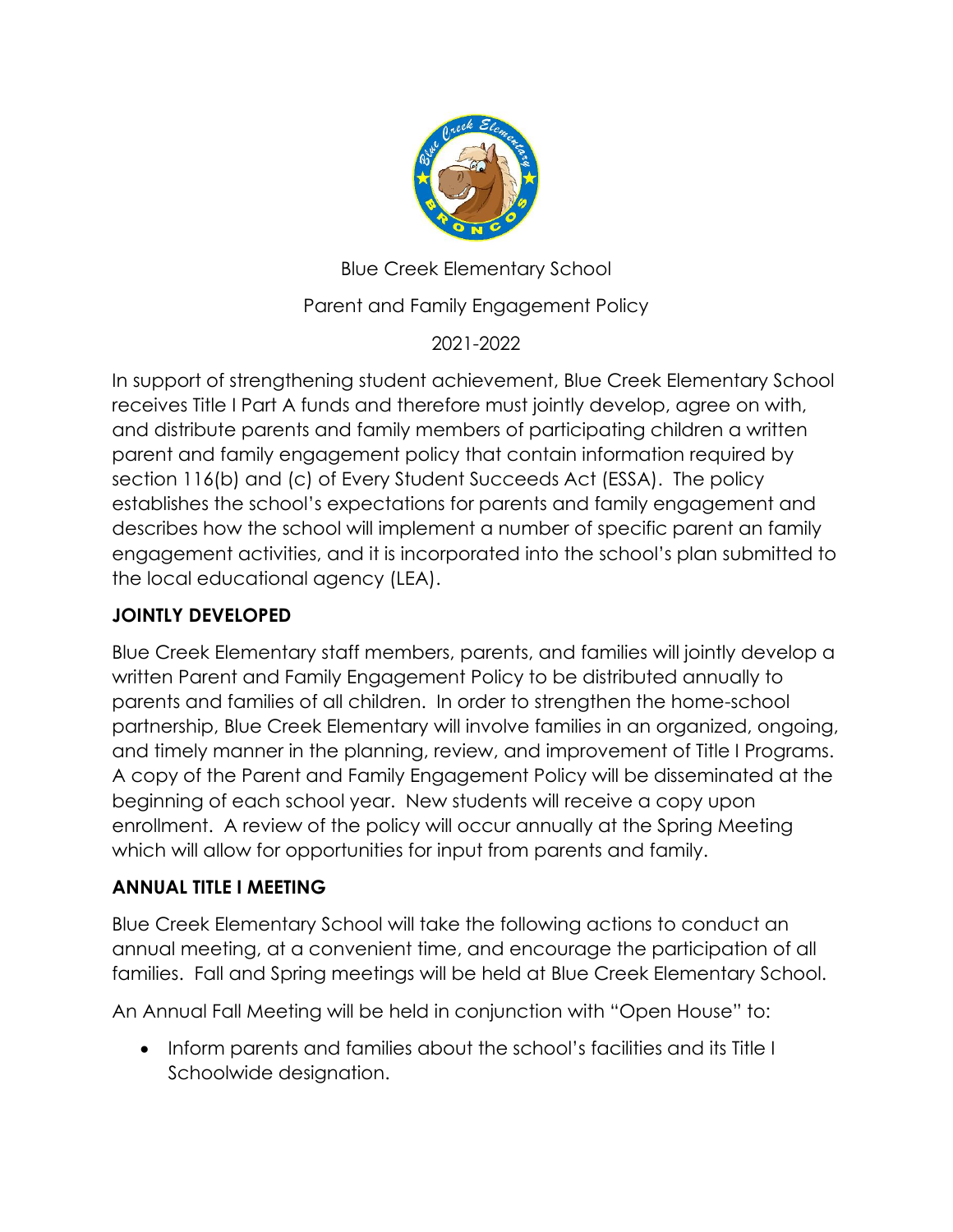

Blue Creek Elementary School

Parent and Family Engagement Policy

2021-2022

In support of strengthening student achievement, Blue Creek Elementary School receives Title I Part A funds and therefore must jointly develop, agree on with, and distribute parents and family members of participating children a written parent and family engagement policy that contain information required by section 116(b) and (c) of Every Student Succeeds Act (ESSA). The policy establishes the school's expectations for parents and family engagement and describes how the school will implement a number of specific parent an family engagement activities, and it is incorporated into the school's plan submitted to the local educational agency (LEA).

# **JOINTLY DEVELOPED**

Blue Creek Elementary staff members, parents, and families will jointly develop a written Parent and Family Engagement Policy to be distributed annually to parents and families of all children. In order to strengthen the home-school partnership, Blue Creek Elementary will involve families in an organized, ongoing, and timely manner in the planning, review, and improvement of Title I Programs. A copy of the Parent and Family Engagement Policy will be disseminated at the beginning of each school year. New students will receive a copy upon enrollment. A review of the policy will occur annually at the Spring Meeting which will allow for opportunities for input from parents and family.

#### **ANNUAL TITLE I MEETING**

Blue Creek Elementary School will take the following actions to conduct an annual meeting, at a convenient time, and encourage the participation of all families. Fall and Spring meetings will be held at Blue Creek Elementary School.

An Annual Fall Meeting will be held in conjunction with "Open House" to:

• Inform parents and families about the school's facilities and its Title I Schoolwide designation.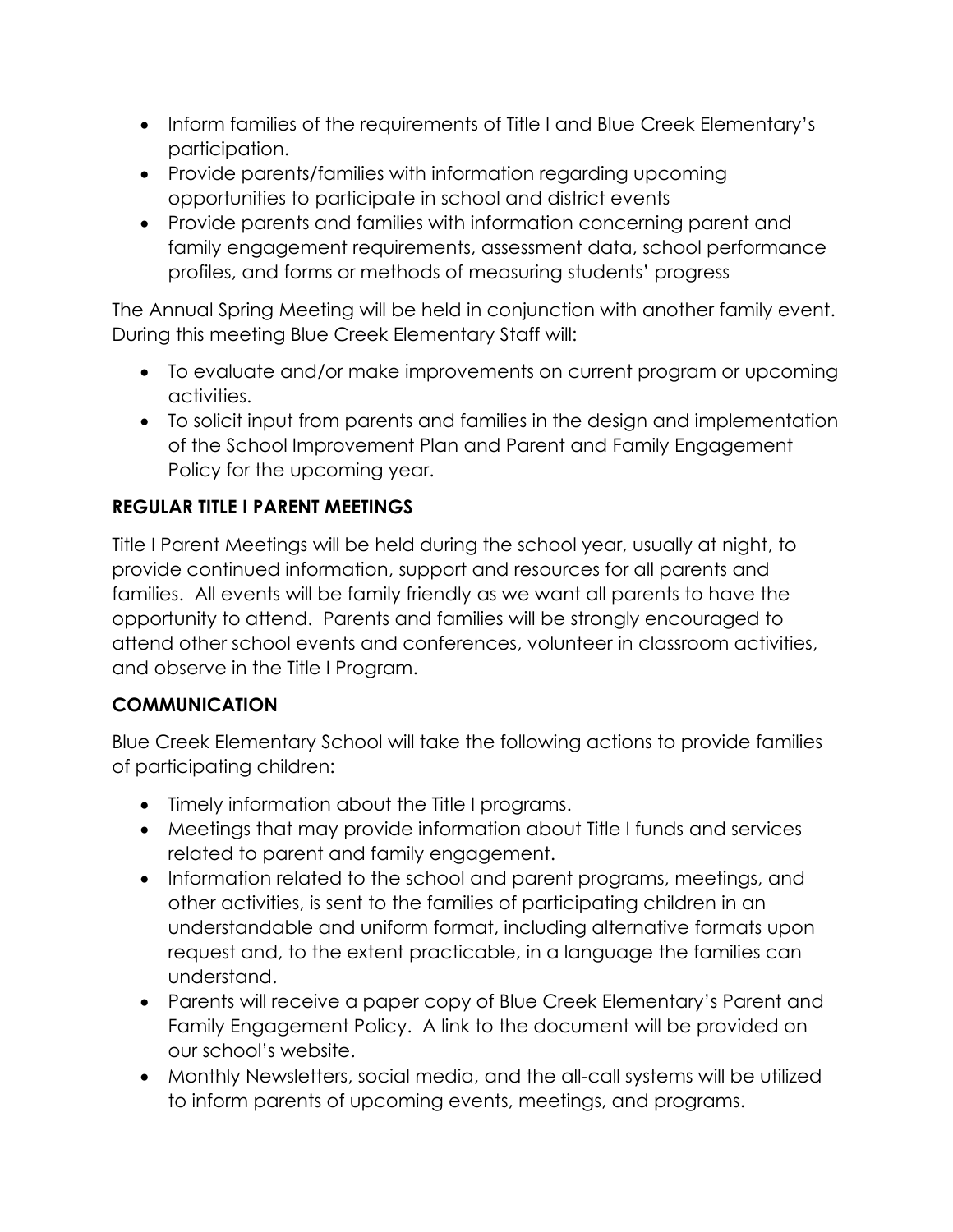- Inform families of the requirements of Title I and Blue Creek Elementary's participation.
- Provide parents/families with information regarding upcoming opportunities to participate in school and district events
- Provide parents and families with information concerning parent and family engagement requirements, assessment data, school performance profiles, and forms or methods of measuring students' progress

The Annual Spring Meeting will be held in conjunction with another family event. During this meeting Blue Creek Elementary Staff will:

- To evaluate and/or make improvements on current program or upcoming activities.
- To solicit input from parents and families in the design and implementation of the School Improvement Plan and Parent and Family Engagement Policy for the upcoming year.

## **REGULAR TITLE I PARENT MEETINGS**

Title I Parent Meetings will be held during the school year, usually at night, to provide continued information, support and resources for all parents and families. All events will be family friendly as we want all parents to have the opportunity to attend. Parents and families will be strongly encouraged to attend other school events and conferences, volunteer in classroom activities, and observe in the Title I Program.

## **COMMUNICATION**

Blue Creek Elementary School will take the following actions to provide families of participating children:

- Timely information about the Title I programs.
- Meetings that may provide information about Title I funds and services related to parent and family engagement.
- Information related to the school and parent programs, meetings, and other activities, is sent to the families of participating children in an understandable and uniform format, including alternative formats upon request and, to the extent practicable, in a language the families can understand.
- Parents will receive a paper copy of Blue Creek Elementary's Parent and Family Engagement Policy. A link to the document will be provided on our school's website.
- Monthly Newsletters, social media, and the all-call systems will be utilized to inform parents of upcoming events, meetings, and programs.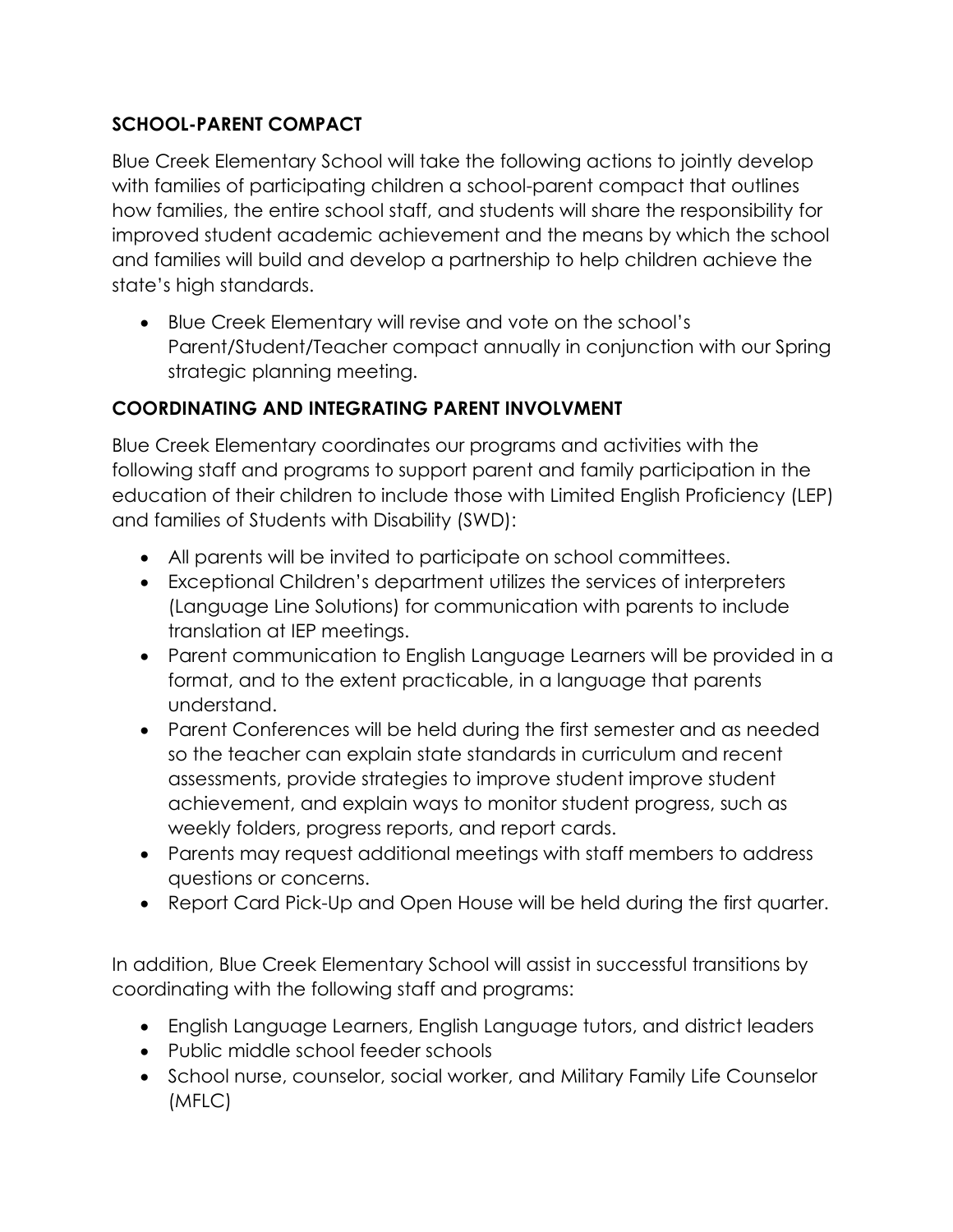## **SCHOOL-PARENT COMPACT**

Blue Creek Elementary School will take the following actions to jointly develop with families of participating children a school-parent compact that outlines how families, the entire school staff, and students will share the responsibility for improved student academic achievement and the means by which the school and families will build and develop a partnership to help children achieve the state's high standards.

• Blue Creek Elementary will revise and vote on the school's Parent/Student/Teacher compact annually in conjunction with our Spring strategic planning meeting.

# **COORDINATING AND INTEGRATING PARENT INVOLVMENT**

Blue Creek Elementary coordinates our programs and activities with the following staff and programs to support parent and family participation in the education of their children to include those with Limited English Proficiency (LEP) and families of Students with Disability (SWD):

- All parents will be invited to participate on school committees.
- Exceptional Children's department utilizes the services of interpreters (Language Line Solutions) for communication with parents to include translation at IEP meetings.
- Parent communication to English Language Learners will be provided in a format, and to the extent practicable, in a language that parents understand.
- Parent Conferences will be held during the first semester and as needed so the teacher can explain state standards in curriculum and recent assessments, provide strategies to improve student improve student achievement, and explain ways to monitor student progress, such as weekly folders, progress reports, and report cards.
- Parents may request additional meetings with staff members to address questions or concerns.
- Report Card Pick-Up and Open House will be held during the first quarter.

In addition, Blue Creek Elementary School will assist in successful transitions by coordinating with the following staff and programs:

- English Language Learners, English Language tutors, and district leaders
- Public middle school feeder schools
- School nurse, counselor, social worker, and Military Family Life Counselor (MFLC)